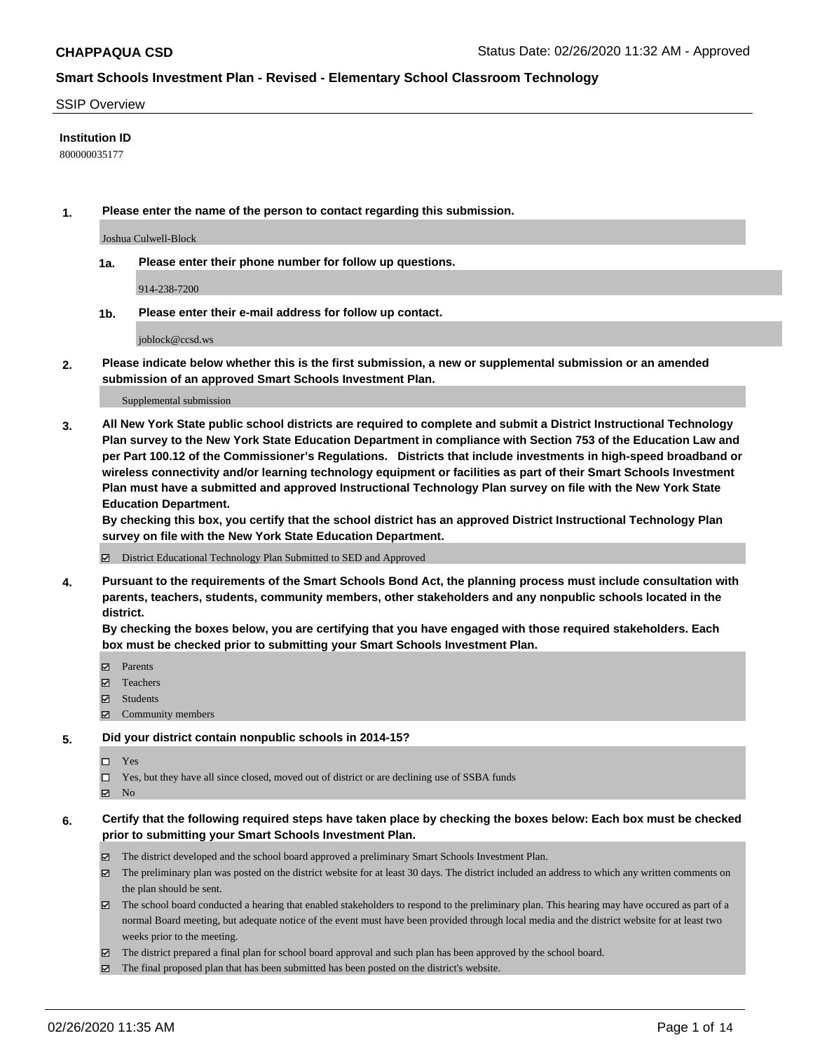### SSIP Overview

## **Institution ID**

800000035177

**1. Please enter the name of the person to contact regarding this submission.**

Joshua Culwell-Block

**1a. Please enter their phone number for follow up questions.**

914-238-7200

**1b. Please enter their e-mail address for follow up contact.**

joblock@ccsd.ws

**2. Please indicate below whether this is the first submission, a new or supplemental submission or an amended submission of an approved Smart Schools Investment Plan.**

#### Supplemental submission

**3. All New York State public school districts are required to complete and submit a District Instructional Technology Plan survey to the New York State Education Department in compliance with Section 753 of the Education Law and per Part 100.12 of the Commissioner's Regulations. Districts that include investments in high-speed broadband or wireless connectivity and/or learning technology equipment or facilities as part of their Smart Schools Investment Plan must have a submitted and approved Instructional Technology Plan survey on file with the New York State Education Department.** 

**By checking this box, you certify that the school district has an approved District Instructional Technology Plan survey on file with the New York State Education Department.**

District Educational Technology Plan Submitted to SED and Approved

**4. Pursuant to the requirements of the Smart Schools Bond Act, the planning process must include consultation with parents, teachers, students, community members, other stakeholders and any nonpublic schools located in the district.** 

**By checking the boxes below, you are certifying that you have engaged with those required stakeholders. Each box must be checked prior to submitting your Smart Schools Investment Plan.**

- **マ** Parents
- Teachers
- Students
- Community members

### **5. Did your district contain nonpublic schools in 2014-15?**

 $\neg$  Yes

Yes, but they have all since closed, moved out of district or are declining use of SSBA funds

**Z** No

- **6. Certify that the following required steps have taken place by checking the boxes below: Each box must be checked prior to submitting your Smart Schools Investment Plan.**
	- The district developed and the school board approved a preliminary Smart Schools Investment Plan.
	- $\boxtimes$  The preliminary plan was posted on the district website for at least 30 days. The district included an address to which any written comments on the plan should be sent.
	- $\boxtimes$  The school board conducted a hearing that enabled stakeholders to respond to the preliminary plan. This hearing may have occured as part of a normal Board meeting, but adequate notice of the event must have been provided through local media and the district website for at least two weeks prior to the meeting.
	- The district prepared a final plan for school board approval and such plan has been approved by the school board.
	- The final proposed plan that has been submitted has been posted on the district's website.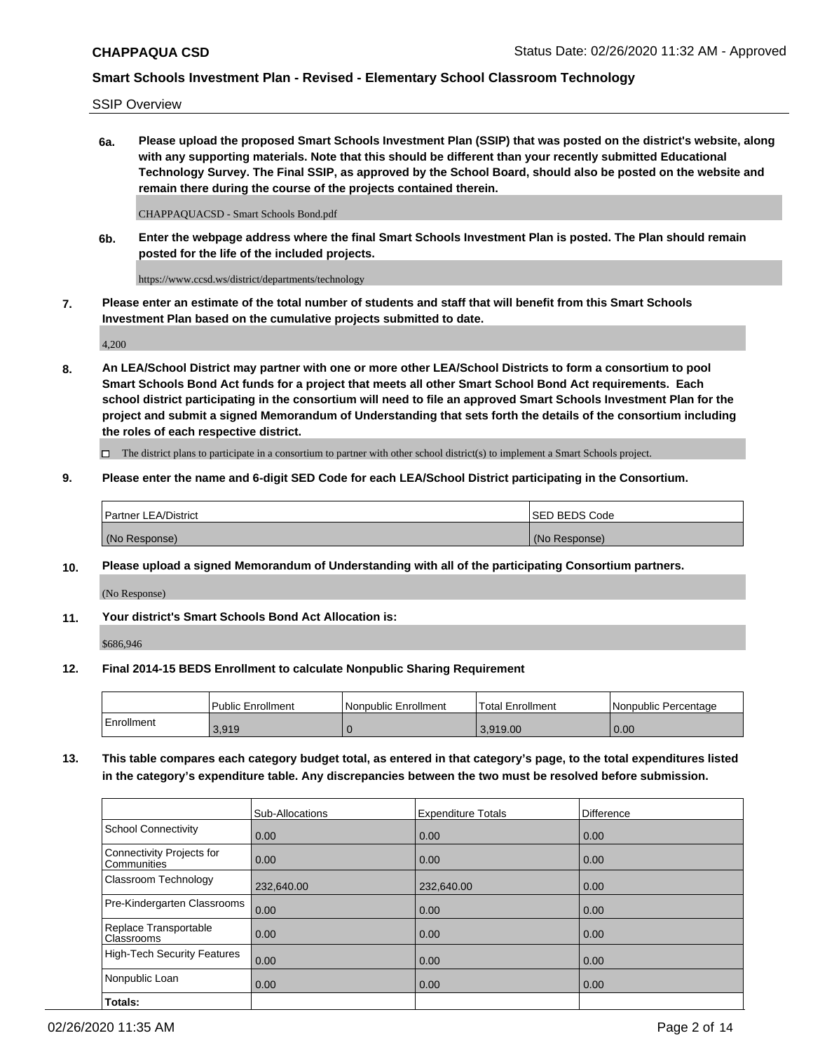SSIP Overview

**6a. Please upload the proposed Smart Schools Investment Plan (SSIP) that was posted on the district's website, along with any supporting materials. Note that this should be different than your recently submitted Educational Technology Survey. The Final SSIP, as approved by the School Board, should also be posted on the website and remain there during the course of the projects contained therein.**

CHAPPAQUACSD - Smart Schools Bond.pdf

**6b. Enter the webpage address where the final Smart Schools Investment Plan is posted. The Plan should remain posted for the life of the included projects.**

https://www.ccsd.ws/district/departments/technology

**7. Please enter an estimate of the total number of students and staff that will benefit from this Smart Schools Investment Plan based on the cumulative projects submitted to date.**

4,200

**8. An LEA/School District may partner with one or more other LEA/School Districts to form a consortium to pool Smart Schools Bond Act funds for a project that meets all other Smart School Bond Act requirements. Each school district participating in the consortium will need to file an approved Smart Schools Investment Plan for the project and submit a signed Memorandum of Understanding that sets forth the details of the consortium including the roles of each respective district.**

 $\Box$  The district plans to participate in a consortium to partner with other school district(s) to implement a Smart Schools project.

## **9. Please enter the name and 6-digit SED Code for each LEA/School District participating in the Consortium.**

| Partner LEA/District | ISED BEDS Code |
|----------------------|----------------|
| (No Response)        | (No Response)  |

## **10. Please upload a signed Memorandum of Understanding with all of the participating Consortium partners.**

(No Response)

**11. Your district's Smart Schools Bond Act Allocation is:**

\$686,946

### **12. Final 2014-15 BEDS Enrollment to calculate Nonpublic Sharing Requirement**

|            | Public Enrollment | Nonpublic Enrollment | Total Enrollment | Nonpublic Percentage |
|------------|-------------------|----------------------|------------------|----------------------|
| Enrollment | 3,919             |                      | 3.919.00         | 0.00                 |

**13. This table compares each category budget total, as entered in that category's page, to the total expenditures listed in the category's expenditure table. Any discrepancies between the two must be resolved before submission.**

|                                          | Sub-Allocations | <b>Expenditure Totals</b> | <b>Difference</b> |
|------------------------------------------|-----------------|---------------------------|-------------------|
| <b>School Connectivity</b>               | 0.00            | 0.00                      | 0.00              |
| Connectivity Projects for<br>Communities | 0.00            | 0.00                      | 0.00              |
| Classroom Technology                     | 232,640.00      | 232,640.00                | 0.00              |
| Pre-Kindergarten Classrooms              | 0.00            | 0.00                      | 0.00              |
| Replace Transportable<br>Classrooms      | 0.00            | 0.00                      | 0.00              |
| <b>High-Tech Security Features</b>       | 0.00            | 0.00                      | 0.00              |
| Nonpublic Loan                           | 0.00            | 0.00                      | 0.00              |
| Totals:                                  |                 |                           |                   |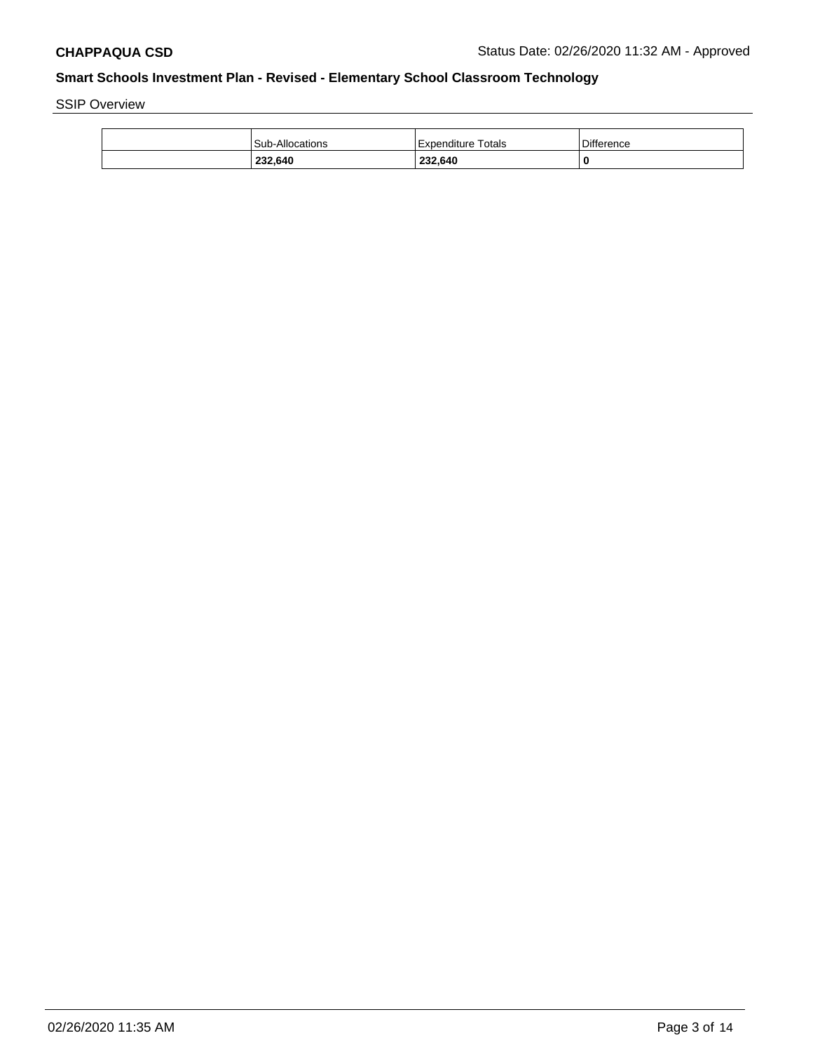SSIP Overview

| 232,640                | 232,640            |                   |
|------------------------|--------------------|-------------------|
| <b>Sub-Allocations</b> | Expenditure Totals | <b>Difference</b> |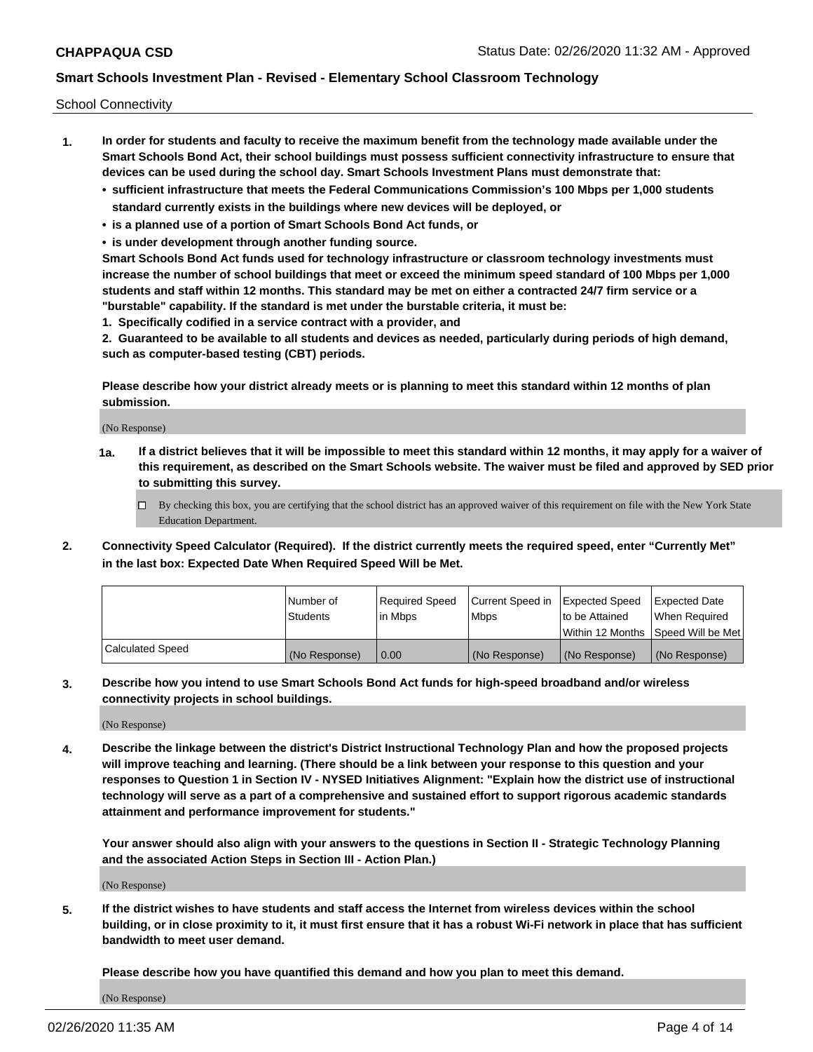School Connectivity

- **1. In order for students and faculty to receive the maximum benefit from the technology made available under the Smart Schools Bond Act, their school buildings must possess sufficient connectivity infrastructure to ensure that devices can be used during the school day. Smart Schools Investment Plans must demonstrate that:**
	- **• sufficient infrastructure that meets the Federal Communications Commission's 100 Mbps per 1,000 students standard currently exists in the buildings where new devices will be deployed, or**
	- **• is a planned use of a portion of Smart Schools Bond Act funds, or**
	- **• is under development through another funding source.**

**Smart Schools Bond Act funds used for technology infrastructure or classroom technology investments must increase the number of school buildings that meet or exceed the minimum speed standard of 100 Mbps per 1,000 students and staff within 12 months. This standard may be met on either a contracted 24/7 firm service or a "burstable" capability. If the standard is met under the burstable criteria, it must be:**

**1. Specifically codified in a service contract with a provider, and**

**2. Guaranteed to be available to all students and devices as needed, particularly during periods of high demand, such as computer-based testing (CBT) periods.**

**Please describe how your district already meets or is planning to meet this standard within 12 months of plan submission.**

(No Response)

**1a. If a district believes that it will be impossible to meet this standard within 12 months, it may apply for a waiver of this requirement, as described on the Smart Schools website. The waiver must be filed and approved by SED prior to submitting this survey.**

 $\Box$  By checking this box, you are certifying that the school district has an approved waiver of this requirement on file with the New York State Education Department.

**2. Connectivity Speed Calculator (Required). If the district currently meets the required speed, enter "Currently Met" in the last box: Expected Date When Required Speed Will be Met.**

|                  | l Number of     | Reauired Speed | Current Speed in | Expected Speed | Expected Date                       |
|------------------|-----------------|----------------|------------------|----------------|-------------------------------------|
|                  | <b>Students</b> | l in Mbps      | l Mbps           | to be Attained | When Required                       |
|                  |                 |                |                  |                | Within 12 Months ISpeed Will be Met |
| Calculated Speed | (No Response)   | 0.00           | (No Response)    | (No Response)  | (No Response)                       |

**3. Describe how you intend to use Smart Schools Bond Act funds for high-speed broadband and/or wireless connectivity projects in school buildings.**

(No Response)

**4. Describe the linkage between the district's District Instructional Technology Plan and how the proposed projects will improve teaching and learning. (There should be a link between your response to this question and your responses to Question 1 in Section IV - NYSED Initiatives Alignment: "Explain how the district use of instructional technology will serve as a part of a comprehensive and sustained effort to support rigorous academic standards attainment and performance improvement for students."** 

**Your answer should also align with your answers to the questions in Section II - Strategic Technology Planning and the associated Action Steps in Section III - Action Plan.)**

(No Response)

**5. If the district wishes to have students and staff access the Internet from wireless devices within the school building, or in close proximity to it, it must first ensure that it has a robust Wi-Fi network in place that has sufficient bandwidth to meet user demand.**

**Please describe how you have quantified this demand and how you plan to meet this demand.**

(No Response)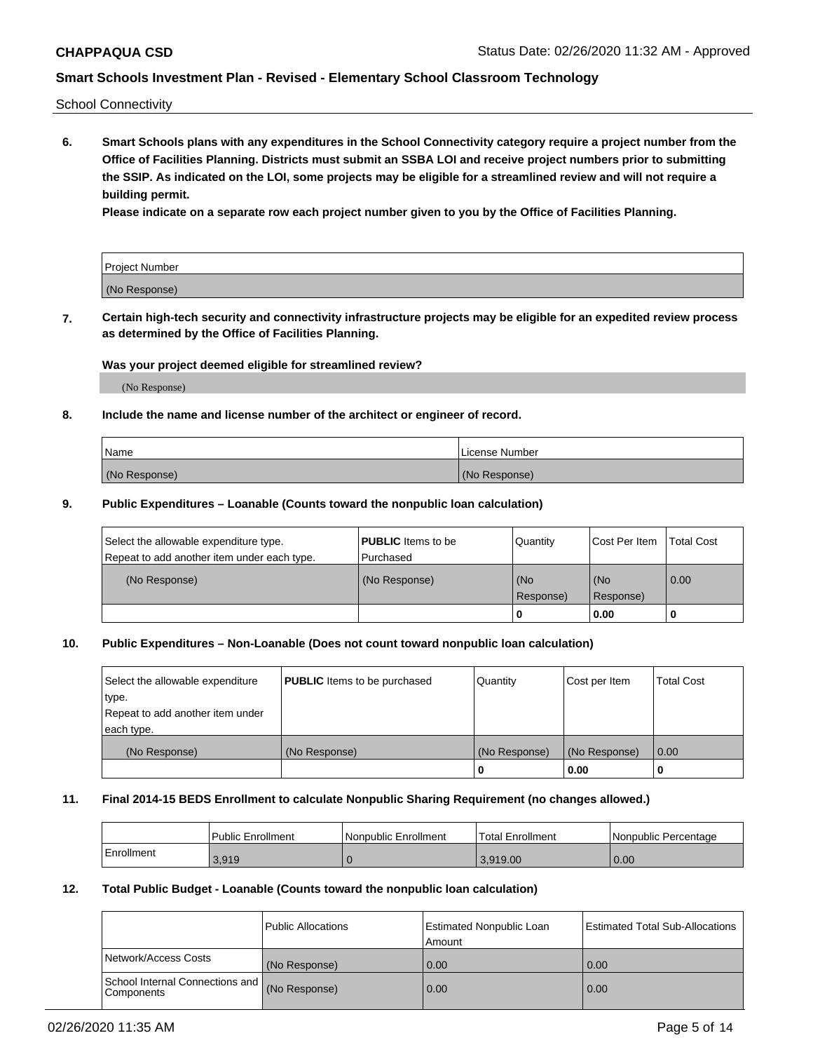School Connectivity

**6. Smart Schools plans with any expenditures in the School Connectivity category require a project number from the Office of Facilities Planning. Districts must submit an SSBA LOI and receive project numbers prior to submitting the SSIP. As indicated on the LOI, some projects may be eligible for a streamlined review and will not require a building permit.**

**Please indicate on a separate row each project number given to you by the Office of Facilities Planning.**

| Project Number |  |
|----------------|--|
| (No Response)  |  |

**7. Certain high-tech security and connectivity infrastructure projects may be eligible for an expedited review process as determined by the Office of Facilities Planning.**

## **Was your project deemed eligible for streamlined review?**

(No Response)

## **8. Include the name and license number of the architect or engineer of record.**

| Name          | License Number |
|---------------|----------------|
| (No Response) | (No Response)  |

### **9. Public Expenditures – Loanable (Counts toward the nonpublic loan calculation)**

| Select the allowable expenditure type.<br>Repeat to add another item under each type. | <b>PUBLIC</b> Items to be<br>l Purchased | Quantity         | l Cost Per Item  | <b>Total Cost</b> |
|---------------------------------------------------------------------------------------|------------------------------------------|------------------|------------------|-------------------|
| (No Response)                                                                         | (No Response)                            | (No<br>Response) | (No<br>Response) | 0.00              |
|                                                                                       |                                          | 0                | 0.00             |                   |

## **10. Public Expenditures – Non-Loanable (Does not count toward nonpublic loan calculation)**

| Select the allowable expenditure | <b>PUBLIC</b> Items to be purchased | Quantity      | Cost per Item | <b>Total Cost</b> |
|----------------------------------|-------------------------------------|---------------|---------------|-------------------|
| type.                            |                                     |               |               |                   |
| Repeat to add another item under |                                     |               |               |                   |
| each type.                       |                                     |               |               |                   |
| (No Response)                    | (No Response)                       | (No Response) | (No Response) | 0.00              |
|                                  |                                     |               | 0.00          |                   |

### **11. Final 2014-15 BEDS Enrollment to calculate Nonpublic Sharing Requirement (no changes allowed.)**

|            | Public Enrollment | Nonpublic Enrollment | 'Total Enrollment | l Nonpublic Percentage |
|------------|-------------------|----------------------|-------------------|------------------------|
| Enrollment | 3.919             |                      | 3.919.00          | 0.00                   |

## **12. Total Public Budget - Loanable (Counts toward the nonpublic loan calculation)**

|                                               | Public Allocations | <b>Estimated Nonpublic Loan</b><br>Amount | Estimated Total Sub-Allocations |
|-----------------------------------------------|--------------------|-------------------------------------------|---------------------------------|
| Network/Access Costs                          | (No Response)      | 0.00                                      | 0.00                            |
| School Internal Connections and<br>Components | (No Response)      | 0.00                                      | 0.00                            |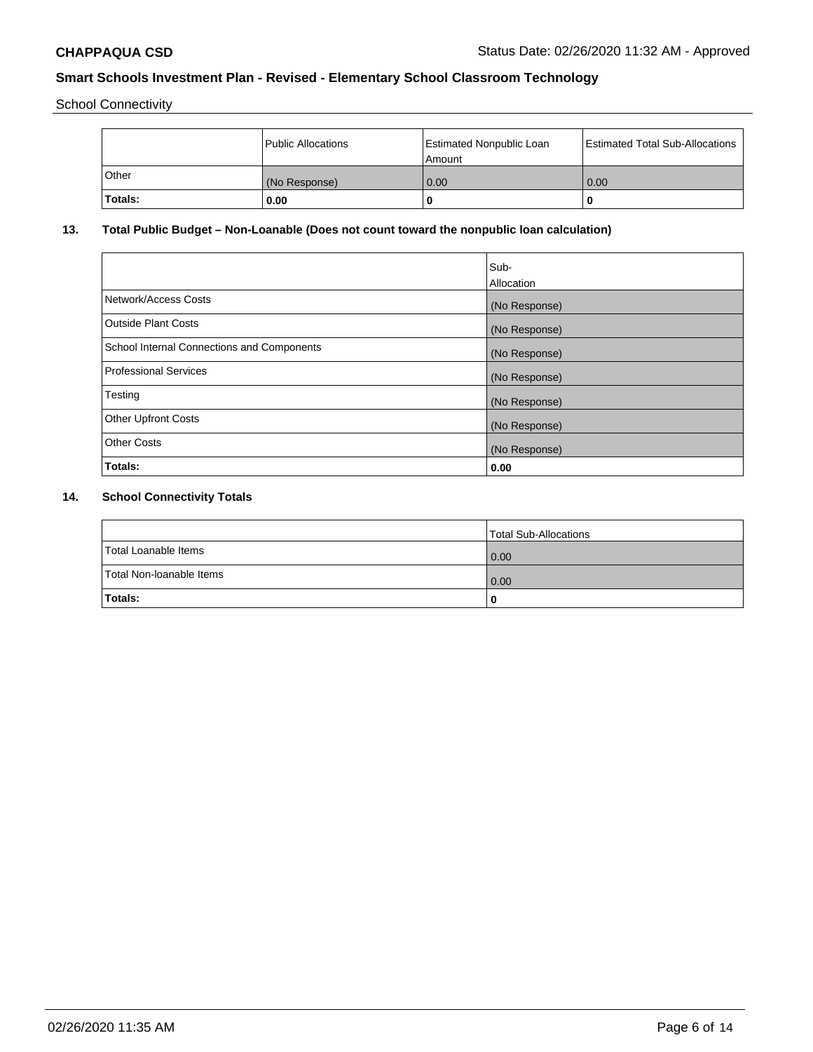School Connectivity

|              | <b>Public Allocations</b> | <b>Estimated Nonpublic Loan</b><br>l Amount | <b>Estimated Total Sub-Allocations</b> |
|--------------|---------------------------|---------------------------------------------|----------------------------------------|
| <b>Other</b> | (No Response)             | 0.00                                        | 0.00                                   |
| Totals:      | 0.00                      | 0                                           | ш                                      |

# **13. Total Public Budget – Non-Loanable (Does not count toward the nonpublic loan calculation)**

|                                                   | Sub-<br>Allocation |
|---------------------------------------------------|--------------------|
| Network/Access Costs                              | (No Response)      |
| <b>Outside Plant Costs</b>                        | (No Response)      |
| <b>School Internal Connections and Components</b> | (No Response)      |
| Professional Services                             | (No Response)      |
| Testing                                           | (No Response)      |
| <b>Other Upfront Costs</b>                        | (No Response)      |
| <b>Other Costs</b>                                | (No Response)      |
| <b>Totals:</b>                                    | 0.00               |

# **14. School Connectivity Totals**

|                          | Total Sub-Allocations |
|--------------------------|-----------------------|
| Total Loanable Items     | 0.00                  |
| Total Non-Ioanable Items | 0.00                  |
| Totals:                  | 0                     |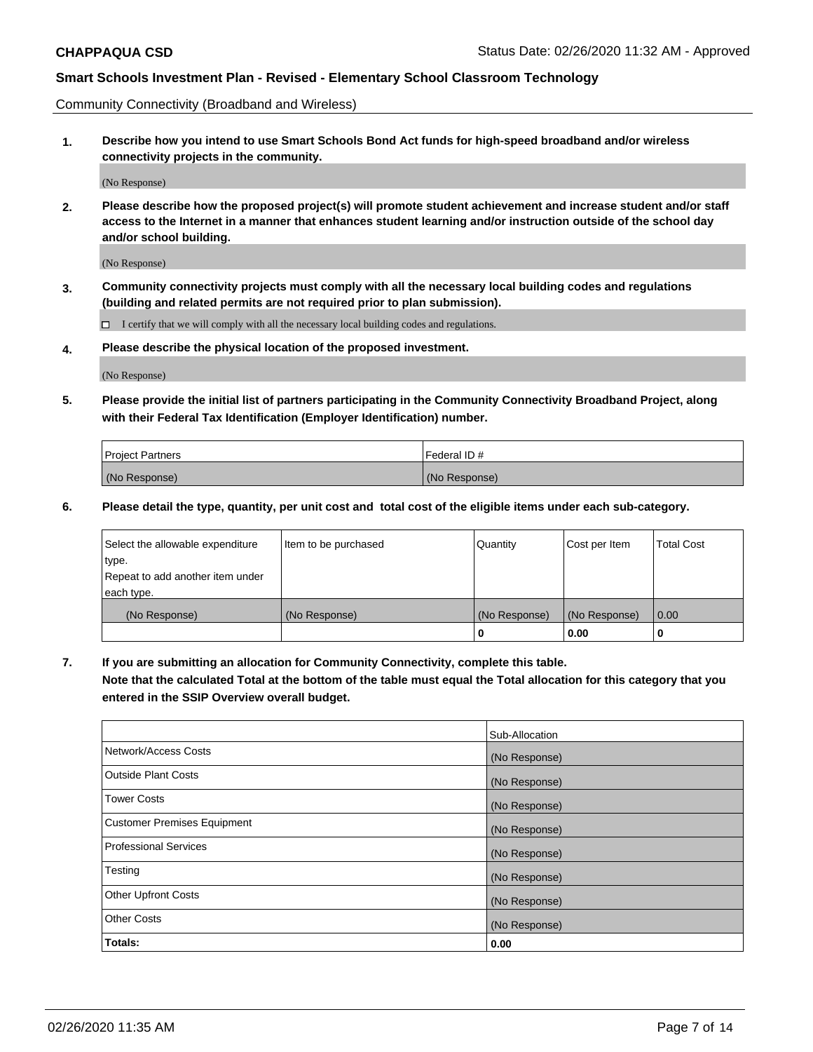Community Connectivity (Broadband and Wireless)

**1. Describe how you intend to use Smart Schools Bond Act funds for high-speed broadband and/or wireless connectivity projects in the community.**

(No Response)

**2. Please describe how the proposed project(s) will promote student achievement and increase student and/or staff access to the Internet in a manner that enhances student learning and/or instruction outside of the school day and/or school building.**

(No Response)

**3. Community connectivity projects must comply with all the necessary local building codes and regulations (building and related permits are not required prior to plan submission).**

 $\Box$  I certify that we will comply with all the necessary local building codes and regulations.

**4. Please describe the physical location of the proposed investment.**

(No Response)

**5. Please provide the initial list of partners participating in the Community Connectivity Broadband Project, along with their Federal Tax Identification (Employer Identification) number.**

| <b>Project Partners</b> | l Federal ID # |
|-------------------------|----------------|
| (No Response)           | (No Response)  |

**6. Please detail the type, quantity, per unit cost and total cost of the eligible items under each sub-category.**

| Select the allowable expenditure | Item to be purchased | Quantity      | Cost per Item | <b>Total Cost</b> |
|----------------------------------|----------------------|---------------|---------------|-------------------|
| type.                            |                      |               |               |                   |
| Repeat to add another item under |                      |               |               |                   |
| each type.                       |                      |               |               |                   |
| (No Response)                    | (No Response)        | (No Response) | (No Response) | 0.00              |
|                                  |                      | o             | 0.00          |                   |

**7. If you are submitting an allocation for Community Connectivity, complete this table.**

**Note that the calculated Total at the bottom of the table must equal the Total allocation for this category that you entered in the SSIP Overview overall budget.**

|                                    | Sub-Allocation |
|------------------------------------|----------------|
| Network/Access Costs               | (No Response)  |
| Outside Plant Costs                | (No Response)  |
| <b>Tower Costs</b>                 | (No Response)  |
| <b>Customer Premises Equipment</b> | (No Response)  |
| <b>Professional Services</b>       | (No Response)  |
| Testing                            | (No Response)  |
| <b>Other Upfront Costs</b>         | (No Response)  |
| <b>Other Costs</b>                 | (No Response)  |
| Totals:                            | 0.00           |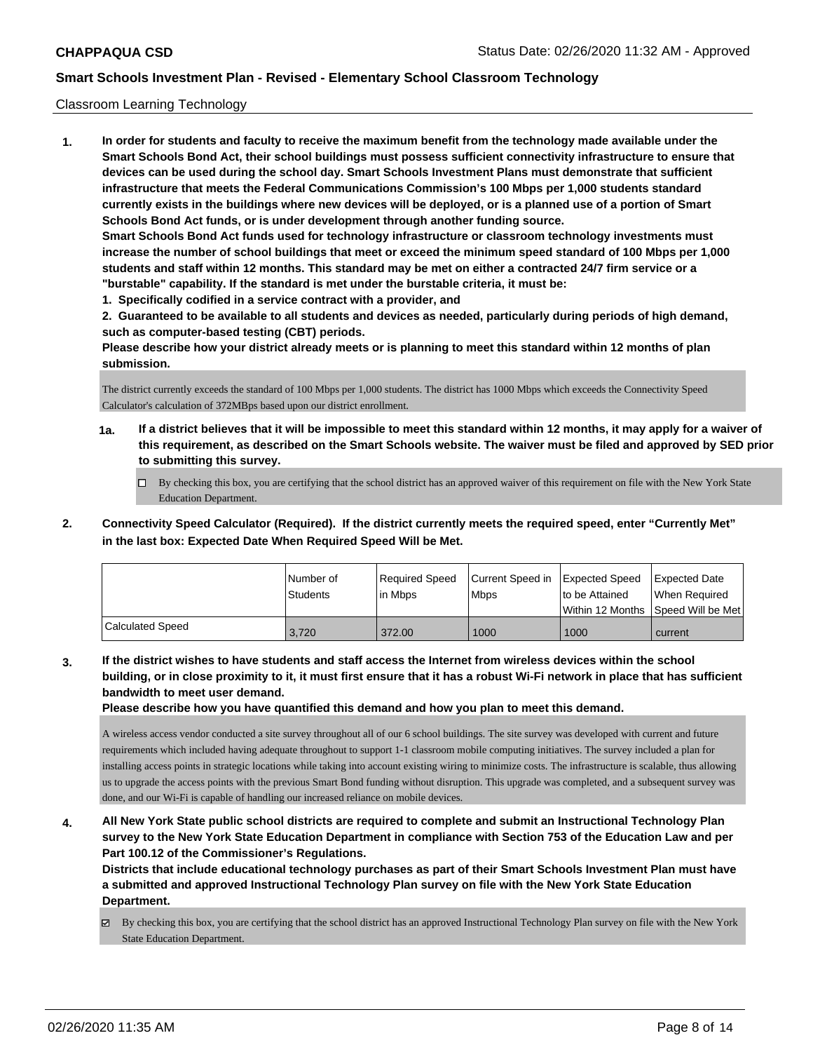### Classroom Learning Technology

**1. In order for students and faculty to receive the maximum benefit from the technology made available under the Smart Schools Bond Act, their school buildings must possess sufficient connectivity infrastructure to ensure that devices can be used during the school day. Smart Schools Investment Plans must demonstrate that sufficient infrastructure that meets the Federal Communications Commission's 100 Mbps per 1,000 students standard currently exists in the buildings where new devices will be deployed, or is a planned use of a portion of Smart Schools Bond Act funds, or is under development through another funding source. Smart Schools Bond Act funds used for technology infrastructure or classroom technology investments must increase the number of school buildings that meet or exceed the minimum speed standard of 100 Mbps per 1,000 students and staff within 12 months. This standard may be met on either a contracted 24/7 firm service or a "burstable" capability. If the standard is met under the burstable criteria, it must be:**

**1. Specifically codified in a service contract with a provider, and**

**2. Guaranteed to be available to all students and devices as needed, particularly during periods of high demand, such as computer-based testing (CBT) periods.**

**Please describe how your district already meets or is planning to meet this standard within 12 months of plan submission.**

The district currently exceeds the standard of 100 Mbps per 1,000 students. The district has 1000 Mbps which exceeds the Connectivity Speed Calculator's calculation of 372MBps based upon our district enrollment.

- **1a. If a district believes that it will be impossible to meet this standard within 12 months, it may apply for a waiver of this requirement, as described on the Smart Schools website. The waiver must be filed and approved by SED prior to submitting this survey.**
	- By checking this box, you are certifying that the school district has an approved waiver of this requirement on file with the New York State Education Department.
- **2. Connectivity Speed Calculator (Required). If the district currently meets the required speed, enter "Currently Met" in the last box: Expected Date When Required Speed Will be Met.**

|                  | l Number of<br><b>Students</b> | Required Speed<br>l in Mbps | Current Speed in Expected Speed<br>Mbps | to be Attained | <b>Expected Date</b><br>When Required<br>Within 12 Months 1Speed Will be Met1 |
|------------------|--------------------------------|-----------------------------|-----------------------------------------|----------------|-------------------------------------------------------------------------------|
| Calculated Speed | 3.720                          | 372.00                      | 1000                                    | 1000           | current                                                                       |

**3. If the district wishes to have students and staff access the Internet from wireless devices within the school building, or in close proximity to it, it must first ensure that it has a robust Wi-Fi network in place that has sufficient bandwidth to meet user demand.**

**Please describe how you have quantified this demand and how you plan to meet this demand.**

A wireless access vendor conducted a site survey throughout all of our 6 school buildings. The site survey was developed with current and future requirements which included having adequate throughout to support 1-1 classroom mobile computing initiatives. The survey included a plan for installing access points in strategic locations while taking into account existing wiring to minimize costs. The infrastructure is scalable, thus allowing us to upgrade the access points with the previous Smart Bond funding without disruption. This upgrade was completed, and a subsequent survey was done, and our Wi-Fi is capable of handling our increased reliance on mobile devices.

**4. All New York State public school districts are required to complete and submit an Instructional Technology Plan survey to the New York State Education Department in compliance with Section 753 of the Education Law and per Part 100.12 of the Commissioner's Regulations.**

**Districts that include educational technology purchases as part of their Smart Schools Investment Plan must have a submitted and approved Instructional Technology Plan survey on file with the New York State Education Department.**

 $\boxtimes$  By checking this box, you are certifying that the school district has an approved Instructional Technology Plan survey on file with the New York State Education Department.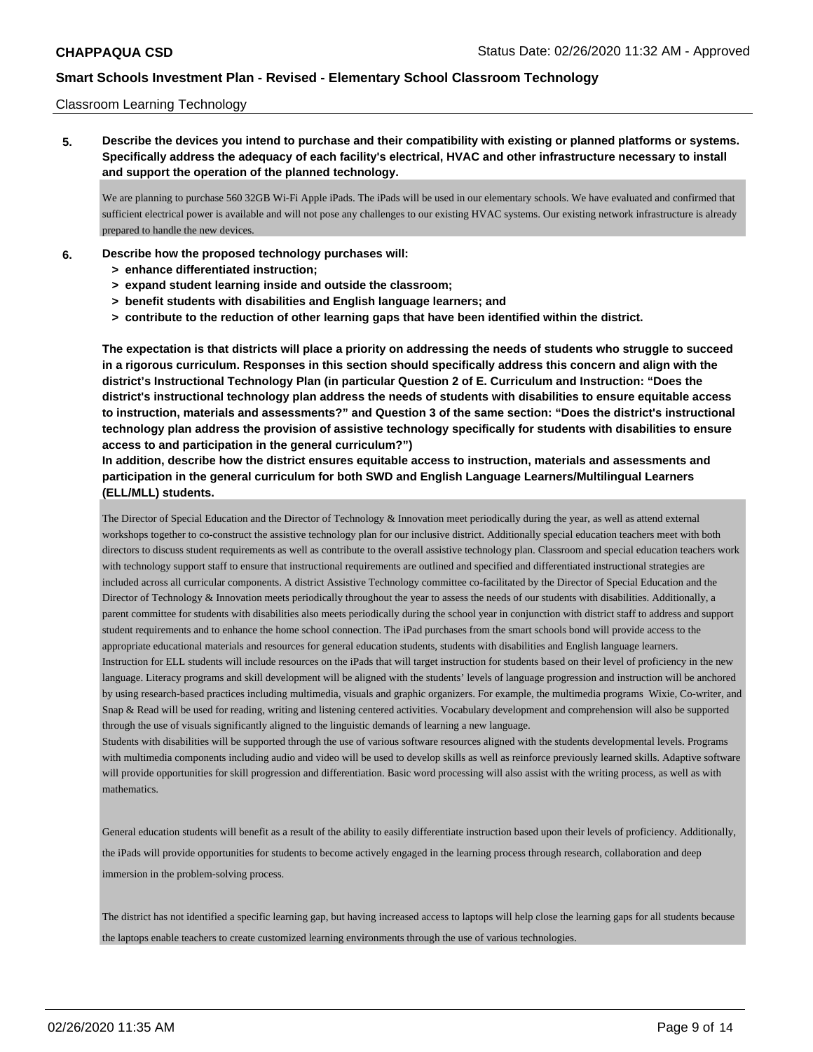### Classroom Learning Technology

**5. Describe the devices you intend to purchase and their compatibility with existing or planned platforms or systems. Specifically address the adequacy of each facility's electrical, HVAC and other infrastructure necessary to install and support the operation of the planned technology.**

We are planning to purchase 560 32GB Wi-Fi Apple iPads. The iPads will be used in our elementary schools. We have evaluated and confirmed that sufficient electrical power is available and will not pose any challenges to our existing HVAC systems. Our existing network infrastructure is already prepared to handle the new devices.

- **6. Describe how the proposed technology purchases will:**
	- **> enhance differentiated instruction;**
	- **> expand student learning inside and outside the classroom;**
	- **> benefit students with disabilities and English language learners; and**
	- **> contribute to the reduction of other learning gaps that have been identified within the district.**

**The expectation is that districts will place a priority on addressing the needs of students who struggle to succeed in a rigorous curriculum. Responses in this section should specifically address this concern and align with the district's Instructional Technology Plan (in particular Question 2 of E. Curriculum and Instruction: "Does the district's instructional technology plan address the needs of students with disabilities to ensure equitable access to instruction, materials and assessments?" and Question 3 of the same section: "Does the district's instructional technology plan address the provision of assistive technology specifically for students with disabilities to ensure access to and participation in the general curriculum?")**

**In addition, describe how the district ensures equitable access to instruction, materials and assessments and participation in the general curriculum for both SWD and English Language Learners/Multilingual Learners (ELL/MLL) students.**

The Director of Special Education and the Director of Technology & Innovation meet periodically during the year, as well as attend external workshops together to co-construct the assistive technology plan for our inclusive district. Additionally special education teachers meet with both directors to discuss student requirements as well as contribute to the overall assistive technology plan. Classroom and special education teachers work with technology support staff to ensure that instructional requirements are outlined and specified and differentiated instructional strategies are included across all curricular components. A district Assistive Technology committee co-facilitated by the Director of Special Education and the Director of Technology & Innovation meets periodically throughout the year to assess the needs of our students with disabilities. Additionally, a parent committee for students with disabilities also meets periodically during the school year in conjunction with district staff to address and support student requirements and to enhance the home school connection. The iPad purchases from the smart schools bond will provide access to the appropriate educational materials and resources for general education students, students with disabilities and English language learners. Instruction for ELL students will include resources on the iPads that will target instruction for students based on their level of proficiency in the new language. Literacy programs and skill development will be aligned with the students' levels of language progression and instruction will be anchored by using research-based practices including multimedia, visuals and graphic organizers. For example, the multimedia programs Wixie, Co-writer, and Snap & Read will be used for reading, writing and listening centered activities. Vocabulary development and comprehension will also be supported through the use of visuals significantly aligned to the linguistic demands of learning a new language.

Students with disabilities will be supported through the use of various software resources aligned with the students developmental levels. Programs with multimedia components including audio and video will be used to develop skills as well as reinforce previously learned skills. Adaptive software will provide opportunities for skill progression and differentiation. Basic word processing will also assist with the writing process, as well as with mathematics.

General education students will benefit as a result of the ability to easily differentiate instruction based upon their levels of proficiency. Additionally, the iPads will provide opportunities for students to become actively engaged in the learning process through research, collaboration and deep immersion in the problem-solving process.

The district has not identified a specific learning gap, but having increased access to laptops will help close the learning gaps for all students because the laptops enable teachers to create customized learning environments through the use of various technologies.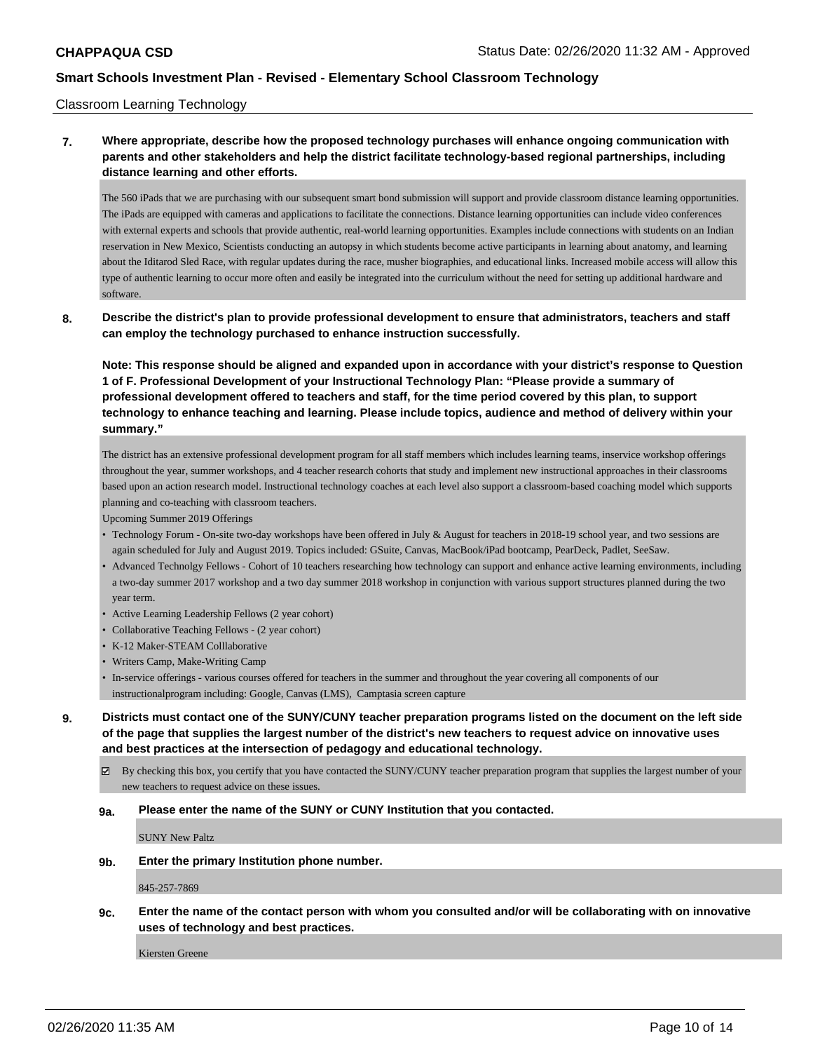### Classroom Learning Technology

# **7. Where appropriate, describe how the proposed technology purchases will enhance ongoing communication with parents and other stakeholders and help the district facilitate technology-based regional partnerships, including distance learning and other efforts.**

The 560 iPads that we are purchasing with our subsequent smart bond submission will support and provide classroom distance learning opportunities. The iPads are equipped with cameras and applications to facilitate the connections. Distance learning opportunities can include video conferences with external experts and schools that provide authentic, real-world learning opportunities. Examples include connections with students on an Indian reservation in New Mexico, Scientists conducting an autopsy in which students become active participants in learning about anatomy, and learning about the Iditarod Sled Race, with regular updates during the race, musher biographies, and educational links. Increased mobile access will allow this type of authentic learning to occur more often and easily be integrated into the curriculum without the need for setting up additional hardware and software.

**8. Describe the district's plan to provide professional development to ensure that administrators, teachers and staff can employ the technology purchased to enhance instruction successfully.**

**Note: This response should be aligned and expanded upon in accordance with your district's response to Question 1 of F. Professional Development of your Instructional Technology Plan: "Please provide a summary of professional development offered to teachers and staff, for the time period covered by this plan, to support technology to enhance teaching and learning. Please include topics, audience and method of delivery within your summary."**

The district has an extensive professional development program for all staff members which includes learning teams, inservice workshop offerings throughout the year, summer workshops, and 4 teacher research cohorts that study and implement new instructional approaches in their classrooms based upon an action research model. Instructional technology coaches at each level also support a classroom-based coaching model which supports planning and co-teaching with classroom teachers.

Upcoming Summer 2019 Offerings

- Technology Forum On-site two-day workshops have been offered in July & August for teachers in 2018-19 school year, and two sessions are again scheduled for July and August 2019. Topics included: GSuite, Canvas, MacBook/iPad bootcamp, PearDeck, Padlet, SeeSaw.
- Advanced Technolgy Fellows Cohort of 10 teachers researching how technology can support and enhance active learning environments, including a two-day summer 2017 workshop and a two day summer 2018 workshop in conjunction with various support structures planned during the two year term.
- Active Learning Leadership Fellows (2 year cohort)
- Collaborative Teaching Fellows (2 year cohort)
- K-12 Maker-STEAM Colllaborative
- Writers Camp, Make-Writing Camp
- In-service offerings various courses offered for teachers in the summer and throughout the year covering all components of our instructionalprogram including: Google, Canvas (LMS), Camptasia screen capture

**9. Districts must contact one of the SUNY/CUNY teacher preparation programs listed on the document on the left side of the page that supplies the largest number of the district's new teachers to request advice on innovative uses and best practices at the intersection of pedagogy and educational technology.**

 $\boxtimes$  By checking this box, you certify that you have contacted the SUNY/CUNY teacher preparation program that supplies the largest number of your new teachers to request advice on these issues.

### **9a. Please enter the name of the SUNY or CUNY Institution that you contacted.**

SUNY New Paltz

**9b. Enter the primary Institution phone number.**

845-257-7869

**9c. Enter the name of the contact person with whom you consulted and/or will be collaborating with on innovative uses of technology and best practices.**

Kiersten Greene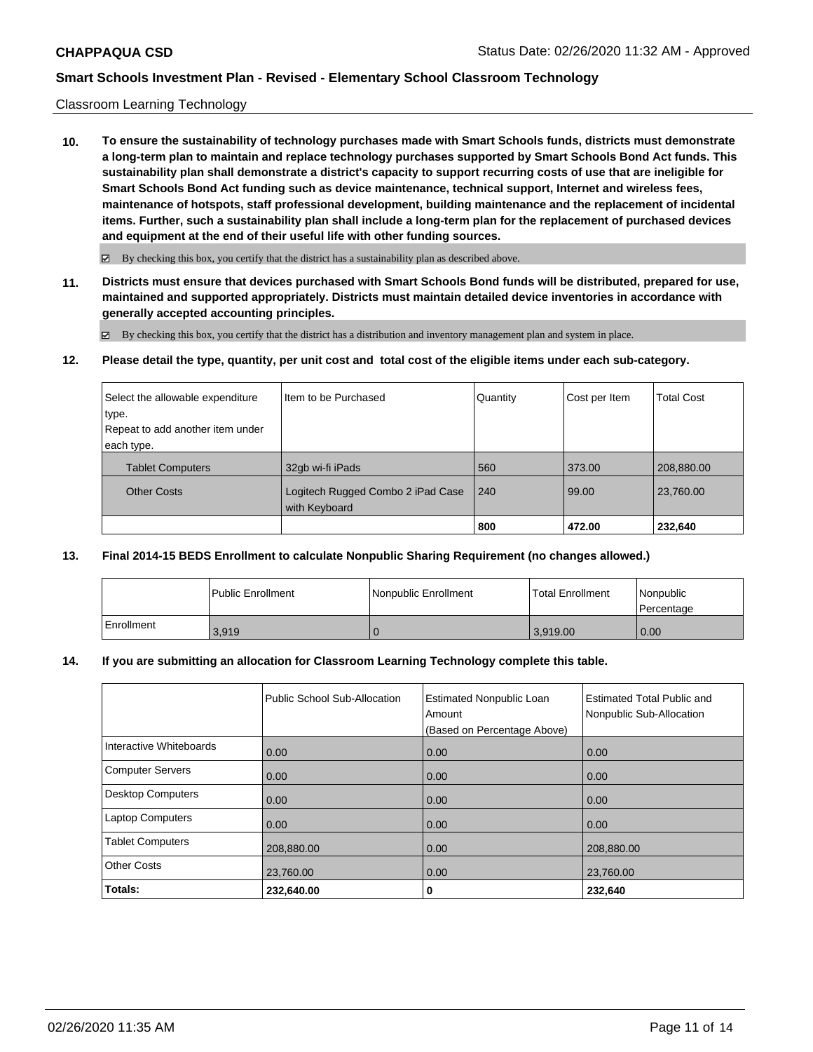### Classroom Learning Technology

**10. To ensure the sustainability of technology purchases made with Smart Schools funds, districts must demonstrate a long-term plan to maintain and replace technology purchases supported by Smart Schools Bond Act funds. This sustainability plan shall demonstrate a district's capacity to support recurring costs of use that are ineligible for Smart Schools Bond Act funding such as device maintenance, technical support, Internet and wireless fees, maintenance of hotspots, staff professional development, building maintenance and the replacement of incidental items. Further, such a sustainability plan shall include a long-term plan for the replacement of purchased devices and equipment at the end of their useful life with other funding sources.**

 $\boxtimes$  By checking this box, you certify that the district has a sustainability plan as described above.

**11. Districts must ensure that devices purchased with Smart Schools Bond funds will be distributed, prepared for use, maintained and supported appropriately. Districts must maintain detailed device inventories in accordance with generally accepted accounting principles.**

By checking this box, you certify that the district has a distribution and inventory management plan and system in place.

**12. Please detail the type, quantity, per unit cost and total cost of the eligible items under each sub-category.**

| Select the allowable expenditure | Item to be Purchased                               | Quantity | Cost per Item | <b>Total Cost</b> |
|----------------------------------|----------------------------------------------------|----------|---------------|-------------------|
| type.                            |                                                    |          |               |                   |
| Repeat to add another item under |                                                    |          |               |                   |
| each type.                       |                                                    |          |               |                   |
| <b>Tablet Computers</b>          | 32qb wi-fi iPads                                   | 560      | 373.00        | 208,880.00        |
| <b>Other Costs</b>               | Logitech Rugged Combo 2 iPad Case<br>with Keyboard | 240      | 99.00         | 23,760.00         |
|                                  |                                                    | 800      | 472.00        | 232,640           |

## **13. Final 2014-15 BEDS Enrollment to calculate Nonpublic Sharing Requirement (no changes allowed.)**

|            | <b>Public Enrollment</b> | Nonpublic Enrollment | Total Enrollment | <i>Nonpublic</i><br>Percentage |
|------------|--------------------------|----------------------|------------------|--------------------------------|
| Enrollment | 3,919                    |                      | 3.919.00         | 0.00                           |

### **14. If you are submitting an allocation for Classroom Learning Technology complete this table.**

|                          | Public School Sub-Allocation | <b>Estimated Nonpublic Loan</b><br>Amount<br>(Based on Percentage Above) | Estimated Total Public and<br>Nonpublic Sub-Allocation |
|--------------------------|------------------------------|--------------------------------------------------------------------------|--------------------------------------------------------|
| Interactive Whiteboards  | 0.00                         | 0.00                                                                     | 0.00                                                   |
| <b>Computer Servers</b>  | 0.00                         | 0.00                                                                     | 0.00                                                   |
| <b>Desktop Computers</b> | 0.00                         | 0.00                                                                     | 0.00                                                   |
| <b>Laptop Computers</b>  | 0.00                         | 0.00                                                                     | 0.00                                                   |
| <b>Tablet Computers</b>  | 208,880.00                   | 0.00                                                                     | 208,880.00                                             |
| <b>Other Costs</b>       | 23,760.00                    | 0.00                                                                     | 23,760.00                                              |
| Totals:                  | 232,640.00                   | 0                                                                        | 232,640                                                |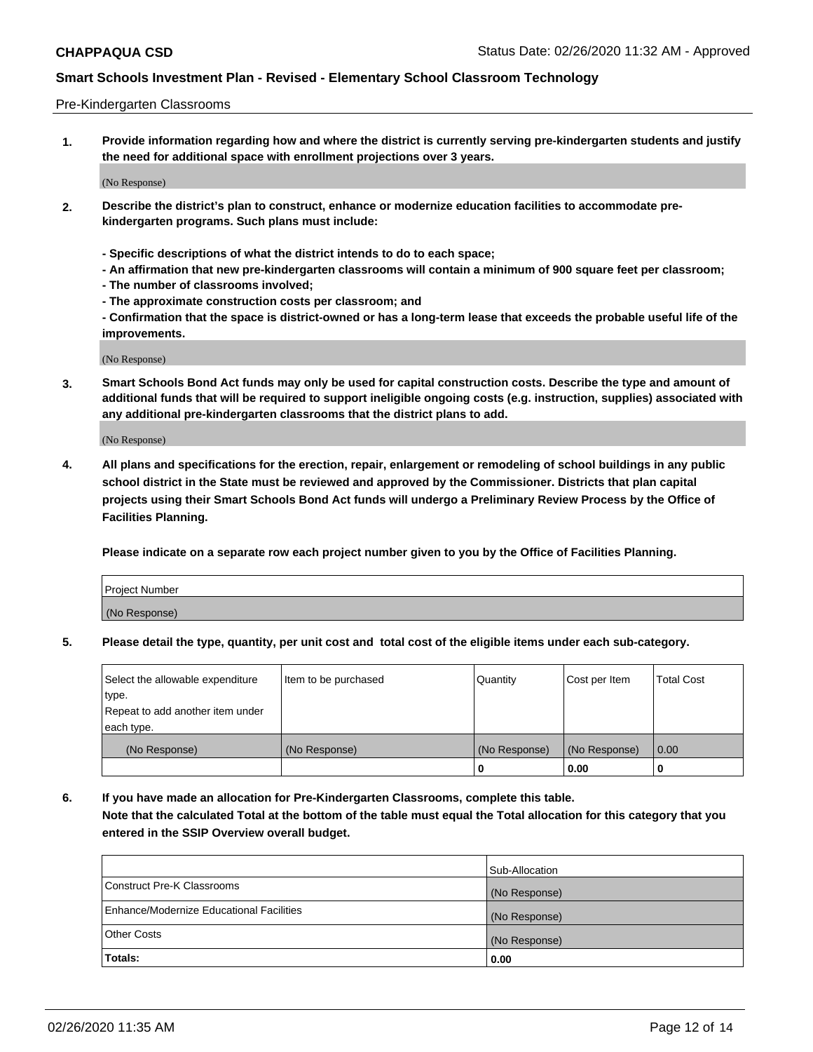### Pre-Kindergarten Classrooms

**1. Provide information regarding how and where the district is currently serving pre-kindergarten students and justify the need for additional space with enrollment projections over 3 years.**

(No Response)

- **2. Describe the district's plan to construct, enhance or modernize education facilities to accommodate prekindergarten programs. Such plans must include:**
	- **Specific descriptions of what the district intends to do to each space;**
	- **An affirmation that new pre-kindergarten classrooms will contain a minimum of 900 square feet per classroom;**
	- **The number of classrooms involved;**
	- **The approximate construction costs per classroom; and**
	- **Confirmation that the space is district-owned or has a long-term lease that exceeds the probable useful life of the improvements.**

(No Response)

**3. Smart Schools Bond Act funds may only be used for capital construction costs. Describe the type and amount of additional funds that will be required to support ineligible ongoing costs (e.g. instruction, supplies) associated with any additional pre-kindergarten classrooms that the district plans to add.**

(No Response)

**4. All plans and specifications for the erection, repair, enlargement or remodeling of school buildings in any public school district in the State must be reviewed and approved by the Commissioner. Districts that plan capital projects using their Smart Schools Bond Act funds will undergo a Preliminary Review Process by the Office of Facilities Planning.**

**Please indicate on a separate row each project number given to you by the Office of Facilities Planning.**

| Project Number |  |
|----------------|--|
| (No Response)  |  |
|                |  |

**5. Please detail the type, quantity, per unit cost and total cost of the eligible items under each sub-category.**

| Select the allowable expenditure | Item to be purchased | Quantity      | Cost per Item | <b>Total Cost</b> |
|----------------------------------|----------------------|---------------|---------------|-------------------|
| type.                            |                      |               |               |                   |
| Repeat to add another item under |                      |               |               |                   |
| each type.                       |                      |               |               |                   |
| (No Response)                    | (No Response)        | (No Response) | (No Response) | 0.00              |
|                                  |                      | U             | 0.00          |                   |

**6. If you have made an allocation for Pre-Kindergarten Classrooms, complete this table. Note that the calculated Total at the bottom of the table must equal the Total allocation for this category that you entered in the SSIP Overview overall budget.**

|                                          | Sub-Allocation |
|------------------------------------------|----------------|
| Construct Pre-K Classrooms               | (No Response)  |
| Enhance/Modernize Educational Facilities | (No Response)  |
| <b>Other Costs</b>                       | (No Response)  |
| Totals:                                  | 0.00           |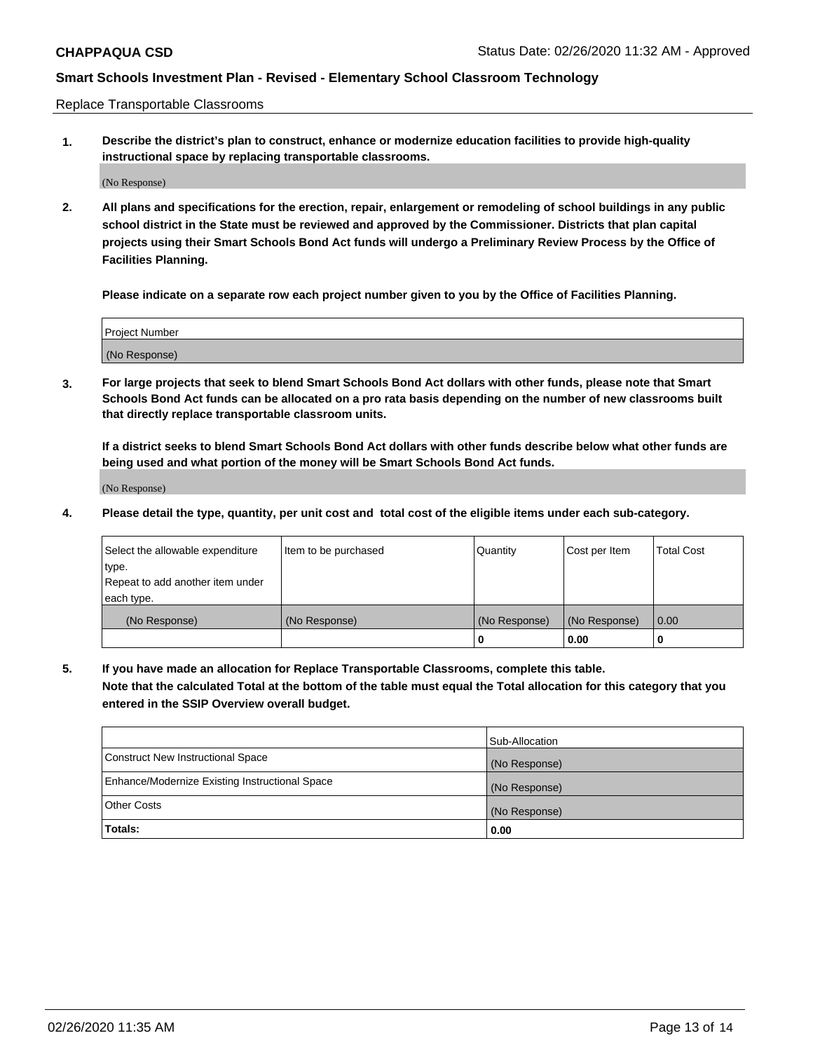Replace Transportable Classrooms

**1. Describe the district's plan to construct, enhance or modernize education facilities to provide high-quality instructional space by replacing transportable classrooms.**

(No Response)

**2. All plans and specifications for the erection, repair, enlargement or remodeling of school buildings in any public school district in the State must be reviewed and approved by the Commissioner. Districts that plan capital projects using their Smart Schools Bond Act funds will undergo a Preliminary Review Process by the Office of Facilities Planning.**

**Please indicate on a separate row each project number given to you by the Office of Facilities Planning.**

| Project Number |  |
|----------------|--|
|                |  |
|                |  |
|                |  |
| (No Response)  |  |
|                |  |
|                |  |

**3. For large projects that seek to blend Smart Schools Bond Act dollars with other funds, please note that Smart Schools Bond Act funds can be allocated on a pro rata basis depending on the number of new classrooms built that directly replace transportable classroom units.**

**If a district seeks to blend Smart Schools Bond Act dollars with other funds describe below what other funds are being used and what portion of the money will be Smart Schools Bond Act funds.**

(No Response)

**4. Please detail the type, quantity, per unit cost and total cost of the eligible items under each sub-category.**

| Select the allowable expenditure | Item to be purchased | Quantity      | Cost per Item | <b>Total Cost</b> |
|----------------------------------|----------------------|---------------|---------------|-------------------|
| ∣type.                           |                      |               |               |                   |
| Repeat to add another item under |                      |               |               |                   |
| each type.                       |                      |               |               |                   |
| (No Response)                    | (No Response)        | (No Response) | (No Response) | 0.00              |
|                                  |                      | U             | 0.00          |                   |

**5. If you have made an allocation for Replace Transportable Classrooms, complete this table. Note that the calculated Total at the bottom of the table must equal the Total allocation for this category that you entered in the SSIP Overview overall budget.**

|                                                | Sub-Allocation |
|------------------------------------------------|----------------|
| Construct New Instructional Space              | (No Response)  |
| Enhance/Modernize Existing Instructional Space | (No Response)  |
| Other Costs                                    | (No Response)  |
| Totals:                                        | 0.00           |